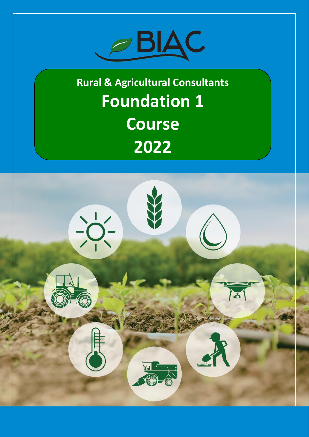

**Rural & Agricultural Consultants Foundation 1 Course 2022**

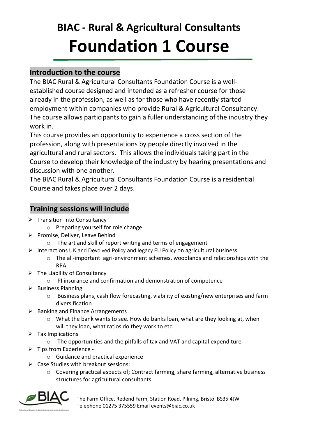# **BIAC - Rural & Agricultural Consultants Foundation 1 Course**

# **Introduction to the course**

The BIAC Rural & Agricultural Consultants Foundation Course is a wellestablished course designed and intended as a refresher course for those already in the profession, as well as for those who have recently started employment within companies who provide Rural & Agricultural Consultancy. The course allows participants to gain a fuller understanding of the industry they work in.

This course provides an opportunity to experience a cross section of the profession, along with presentations by people directly involved in the agricultural and rural sectors. This allows the individuals taking part in the Course to develop their knowledge of the industry by hearing presentations and discussion with one another.

The BIAC Rural & Agricultural Consultants Foundation Course is a residential Course and takes place over 2 days.

## **Training sessions will include**

- ➢ Transition Into Consultancy
	- o Preparing yourself for role change
- ➢ Promise, Deliver, Leave Behind
	- o The art and skill of report writing and terms of engagement
- ➢ Interactions UK and Devolved Policy and legacy EU Policy on agricultural business
	- o The all-important agri-environment schemes, woodlands and relationships with the RPA
- $\triangleright$  The Liability of Consultancy
	- o PI insurance and confirmation and demonstration of competence
- $\triangleright$  Business Planning
	- o Business plans, cash flow forecasting, viability of existing/new enterprises and farm diversification
- $\triangleright$  Banking and Finance Arrangements
	- o What the bank wants to see. How do banks loan, what are they looking at, when will they loan, what ratios do they work to etc.
- ➢ Tax Implications
	- o The opportunities and the pitfalls of tax and VAT and capital expenditure
- ➢ Tips from Experience
	- o Guidance and practical experience
- $\triangleright$  Case Studies with breakout sessions;
	- o Covering practical aspects of; Contract farming, share farming, alternative business structures for agricultural consultants



The Farm Office, Redend Farm, Station Road, Pilning, Bristol BS35 4JW Telephone 01275 375559 Email events@biac.co.uk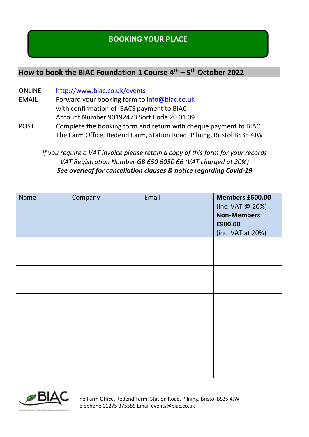# **BOOKING YOUR PLACE**

# **How to book the BIAC Foundation 1 Course 4 th – 5 th October 2022**

- ONLINE <http://www.biac.co.uk/events>
- EMAIL Forward your booking form to [info@biac.co.uk](mailto:info@biac.co.uk) with confirmation of BACS payment to BIAC Account Number 90192473 Sort Code 20 01 09
- POST Complete the booking form and return with cheque payment to BIAC The Farm Office, Redend Farm, Station Road, Pilning, Bristol BS35 4JW

*If you require a VAT invoice please retain a copy of this form for your records VAT Registration Number GB 650 6050 66 (VAT charged at 20%) See overleaf for cancellation clauses & notice regarding Covid-19*

| Name | Company | Email | Members £600.00<br>(inc. VAT @ 20%)<br><b>Non-Members</b><br>£900.00<br>(inc. VAT at 20%) |
|------|---------|-------|-------------------------------------------------------------------------------------------|
|      |         |       |                                                                                           |
|      |         |       |                                                                                           |
|      |         |       |                                                                                           |
|      |         |       |                                                                                           |
|      |         |       |                                                                                           |



The Farm Office, Redend Farm, Station Road, Pilning, Bristol BS35 4JW Telephone 01275 375559 Email events@biac.co.uk